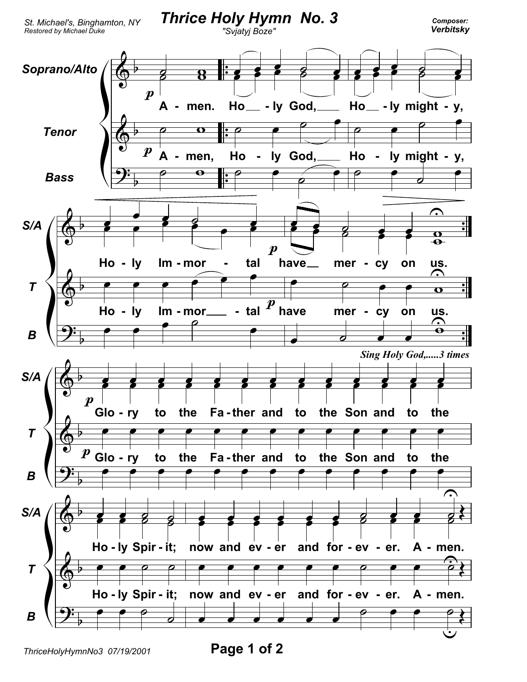

ThriceHolyHymnNo3 07/19/2001

Page 1 of 2